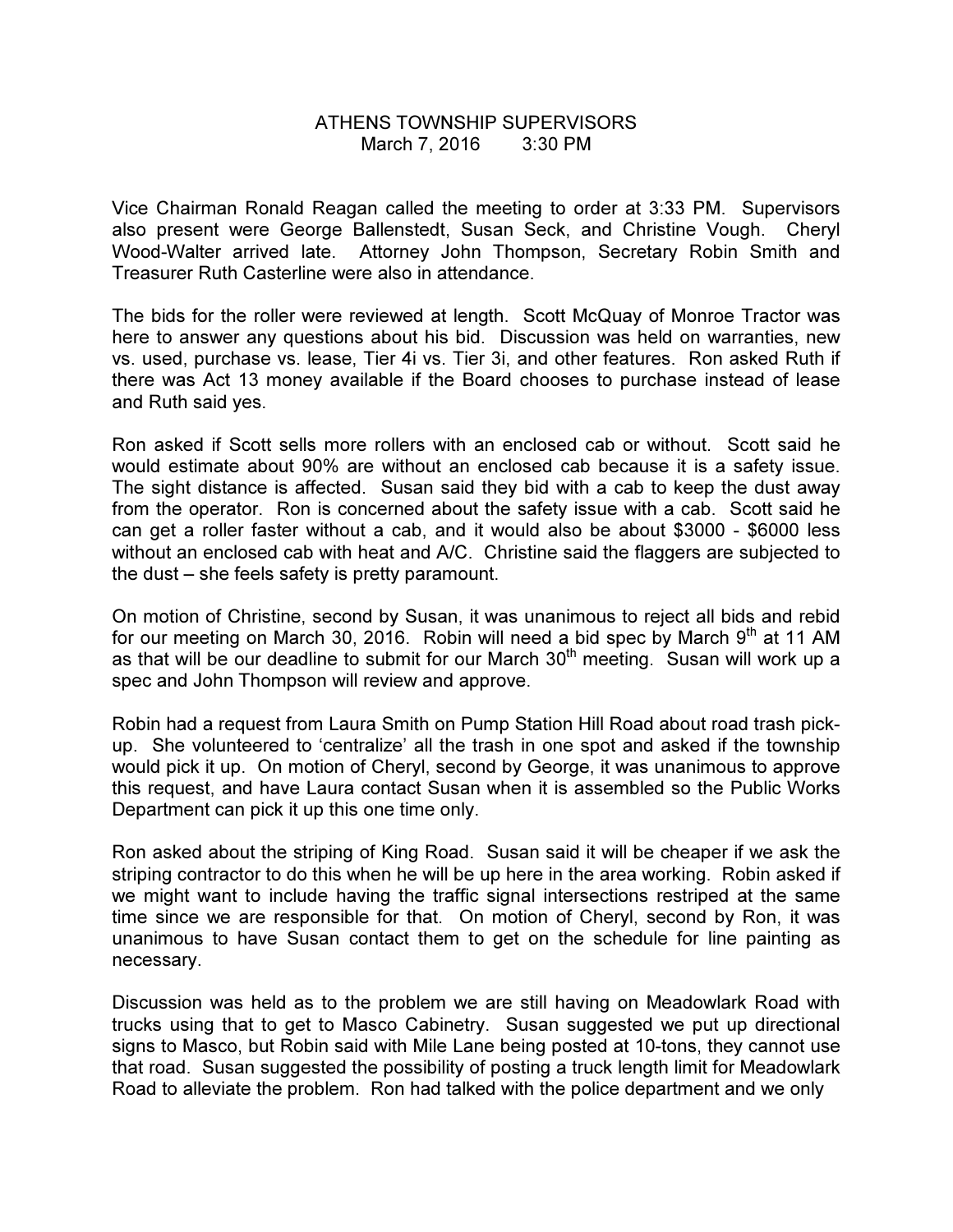## ATHENS TOWNSHIP SUPERVISORS March 7, 2016 3:30 PM

Vice Chairman Ronald Reagan called the meeting to order at 3:33 PM. Supervisors also present were George Ballenstedt, Susan Seck, and Christine Vough. Cheryl Wood-Walter arrived late. Attorney John Thompson, Secretary Robin Smith and Treasurer Ruth Casterline were also in attendance.

The bids for the roller were reviewed at length. Scott McQuay of Monroe Tractor was here to answer any questions about his bid. Discussion was held on warranties, new vs. used, purchase vs. lease, Tier 4i vs. Tier 3i, and other features. Ron asked Ruth if there was Act 13 money available if the Board chooses to purchase instead of lease and Ruth said yes.

Ron asked if Scott sells more rollers with an enclosed cab or without. Scott said he would estimate about 90% are without an enclosed cab because it is a safety issue. The sight distance is affected. Susan said they bid with a cab to keep the dust away from the operator. Ron is concerned about the safety issue with a cab. Scott said he can get a roller faster without a cab, and it would also be about \$3000 - \$6000 less without an enclosed cab with heat and A/C. Christine said the flaggers are subjected to the dust – she feels safety is pretty paramount.

On motion of Christine, second by Susan, it was unanimous to reject all bids and rebid for our meeting on March 30, 2016. Robin will need a bid spec by March  $9<sup>th</sup>$  at 11 AM as that will be our deadline to submit for our March  $30<sup>th</sup>$  meeting. Susan will work up a spec and John Thompson will review and approve.

Robin had a request from Laura Smith on Pump Station Hill Road about road trash pickup. She volunteered to 'centralize' all the trash in one spot and asked if the township would pick it up. On motion of Cheryl, second by George, it was unanimous to approve this request, and have Laura contact Susan when it is assembled so the Public Works Department can pick it up this one time only.

Ron asked about the striping of King Road. Susan said it will be cheaper if we ask the striping contractor to do this when he will be up here in the area working. Robin asked if we might want to include having the traffic signal intersections restriped at the same time since we are responsible for that. On motion of Cheryl, second by Ron, it was unanimous to have Susan contact them to get on the schedule for line painting as necessary.

Discussion was held as to the problem we are still having on Meadowlark Road with trucks using that to get to Masco Cabinetry. Susan suggested we put up directional signs to Masco, but Robin said with Mile Lane being posted at 10-tons, they cannot use that road. Susan suggested the possibility of posting a truck length limit for Meadowlark Road to alleviate the problem. Ron had talked with the police department and we only